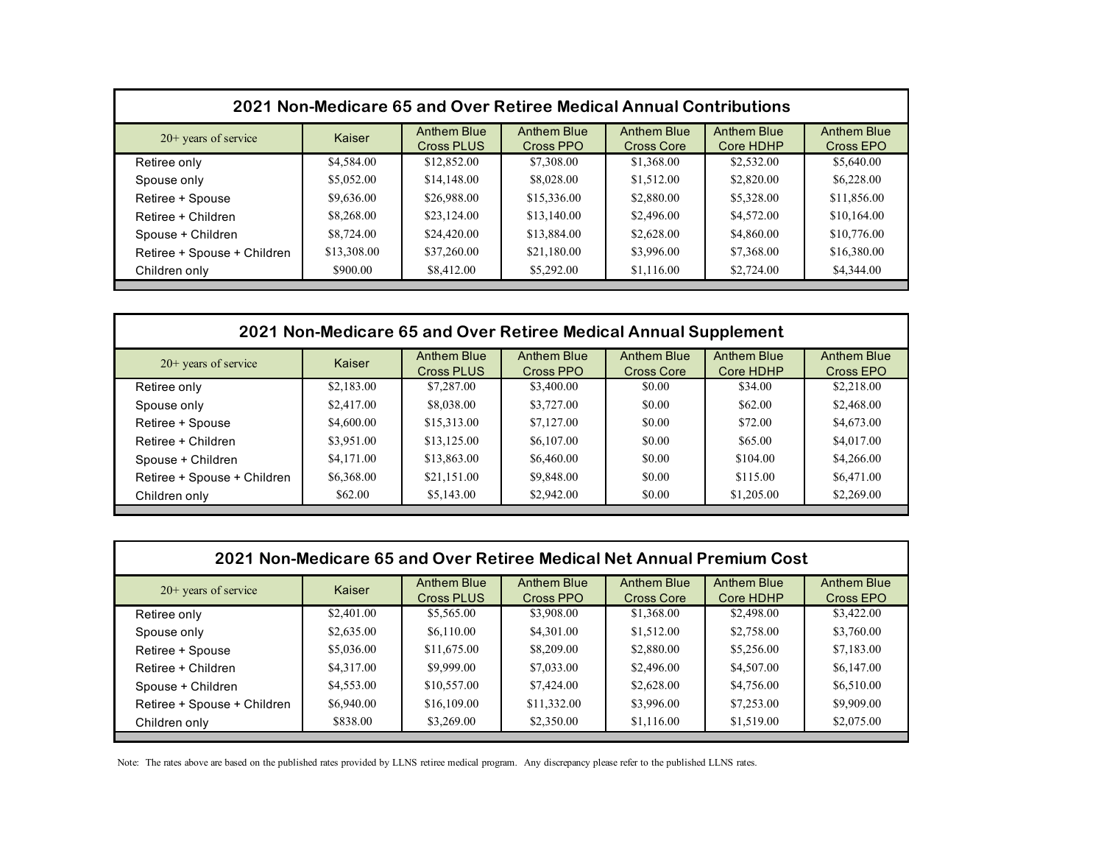| 2021 Non-Medicare 65 and Over Retiree Medical Annual Contributions |             |                                         |                                 |                                         |                                 |                                 |  |
|--------------------------------------------------------------------|-------------|-----------------------------------------|---------------------------------|-----------------------------------------|---------------------------------|---------------------------------|--|
| $20+$ years of service                                             | Kaiser      | <b>Anthem Blue</b><br><b>Cross PLUS</b> | <b>Anthem Blue</b><br>Cross PPO | <b>Anthem Blue</b><br><b>Cross Core</b> | <b>Anthem Blue</b><br>Core HDHP | <b>Anthem Blue</b><br>Cross EPO |  |
| Retiree only                                                       | \$4,584.00  | \$12,852.00                             | \$7,308.00                      | \$1,368.00                              | \$2,532.00                      | \$5,640.00                      |  |
| Spouse only                                                        | \$5,052.00  | \$14,148.00                             | \$8,028.00                      | \$1,512.00                              | \$2,820.00                      | \$6,228.00                      |  |
| Retiree + Spouse                                                   | \$9,636.00  | \$26,988.00                             | \$15,336.00                     | \$2,880.00                              | \$5,328.00                      | \$11,856.00                     |  |
| Retiree + Children                                                 | \$8,268.00  | \$23,124.00                             | \$13,140.00                     | \$2,496.00                              | \$4,572.00                      | \$10,164.00                     |  |
| Spouse + Children                                                  | \$8,724.00  | \$24,420.00                             | \$13,884.00                     | \$2,628.00                              | \$4,860.00                      | \$10,776.00                     |  |
| Retiree + Spouse + Children                                        | \$13,308.00 | \$37,260.00                             | \$21,180.00                     | \$3,996.00                              | \$7,368.00                      | \$16,380.00                     |  |
| Children only                                                      | \$900.00    | \$8,412.00                              | \$5,292.00                      | \$1,116.00                              | \$2,724.00                      | \$4,344.00                      |  |

| 2021 Non-Medicare 65 and Over Retiree Medical Annual Supplement |            |                                  |                          |                                  |                                 |                                 |  |
|-----------------------------------------------------------------|------------|----------------------------------|--------------------------|----------------------------------|---------------------------------|---------------------------------|--|
| $20+$ years of service                                          | Kaiser     | Anthem Blue<br><b>Cross PLUS</b> | Anthem Blue<br>Cross PPO | Anthem Blue<br><b>Cross Core</b> | <b>Anthem Blue</b><br>Core HDHP | <b>Anthem Blue</b><br>Cross EPO |  |
| Retiree only                                                    | \$2,183.00 | \$7,287.00                       | \$3,400.00               | \$0.00                           | \$34.00                         | \$2,218.00                      |  |
| Spouse only                                                     | \$2,417.00 | \$8,038.00                       | \$3,727.00               | \$0.00                           | \$62.00                         | \$2,468.00                      |  |
| Retiree + Spouse                                                | \$4,600.00 | \$15,313.00                      | \$7,127.00               | \$0.00                           | \$72.00                         | \$4,673.00                      |  |
| Retiree + Children                                              | \$3,951.00 | \$13,125.00                      | \$6,107.00               | \$0.00                           | \$65.00                         | \$4,017.00                      |  |
| Spouse + Children                                               | \$4,171.00 | \$13,863.00                      | \$6,460.00               | \$0.00                           | \$104.00                        | \$4,266.00                      |  |
| Retiree + Spouse + Children                                     | \$6,368.00 | \$21,151.00                      | \$9,848.00               | \$0.00                           | \$115.00                        | \$6,471.00                      |  |
| Children only                                                   | \$62.00    | \$5,143.00                       | \$2,942.00               | \$0.00                           | \$1,205.00                      | \$2,269.00                      |  |

| 2021 Non-Medicare 65 and Over Retiree Medical Net Annual Premium Cost |            |                                  |                                 |                                  |                                 |                          |  |
|-----------------------------------------------------------------------|------------|----------------------------------|---------------------------------|----------------------------------|---------------------------------|--------------------------|--|
| $20+$ years of service                                                | Kaiser     | <b>Anthem Blue</b><br>Cross PLUS | <b>Anthem Blue</b><br>Cross PPO | <b>Anthem Blue</b><br>Cross Core | <b>Anthem Blue</b><br>Core HDHP | Anthem Blue<br>Cross EPO |  |
| Retiree only                                                          | \$2,401.00 | \$5,565.00                       | \$3,908.00                      | \$1,368.00                       | \$2,498.00                      | \$3,422.00               |  |
| Spouse only                                                           | \$2,635.00 | \$6,110.00                       | \$4,301.00                      | \$1,512.00                       | \$2,758.00                      | \$3,760.00               |  |
| Retiree + Spouse                                                      | \$5,036.00 | \$11,675.00                      | \$8,209.00                      | \$2,880.00                       | \$5,256.00                      | \$7,183.00               |  |
| Retiree + Children                                                    | \$4,317.00 | \$9,999.00                       | \$7,033.00                      | \$2,496.00                       | \$4,507.00                      | \$6,147.00               |  |
| Spouse + Children                                                     | \$4,553.00 | \$10,557.00                      | \$7,424.00                      | \$2,628.00                       | \$4,756.00                      | \$6,510.00               |  |
| Retiree + Spouse + Children                                           | \$6,940.00 | \$16,109.00                      | \$11,332.00                     | \$3,996.00                       | \$7,253.00                      | \$9,909.00               |  |
| Children only                                                         | \$838.00   | \$3,269.00                       | \$2,350.00                      | \$1,116.00                       | \$1,519.00                      | \$2,075.00               |  |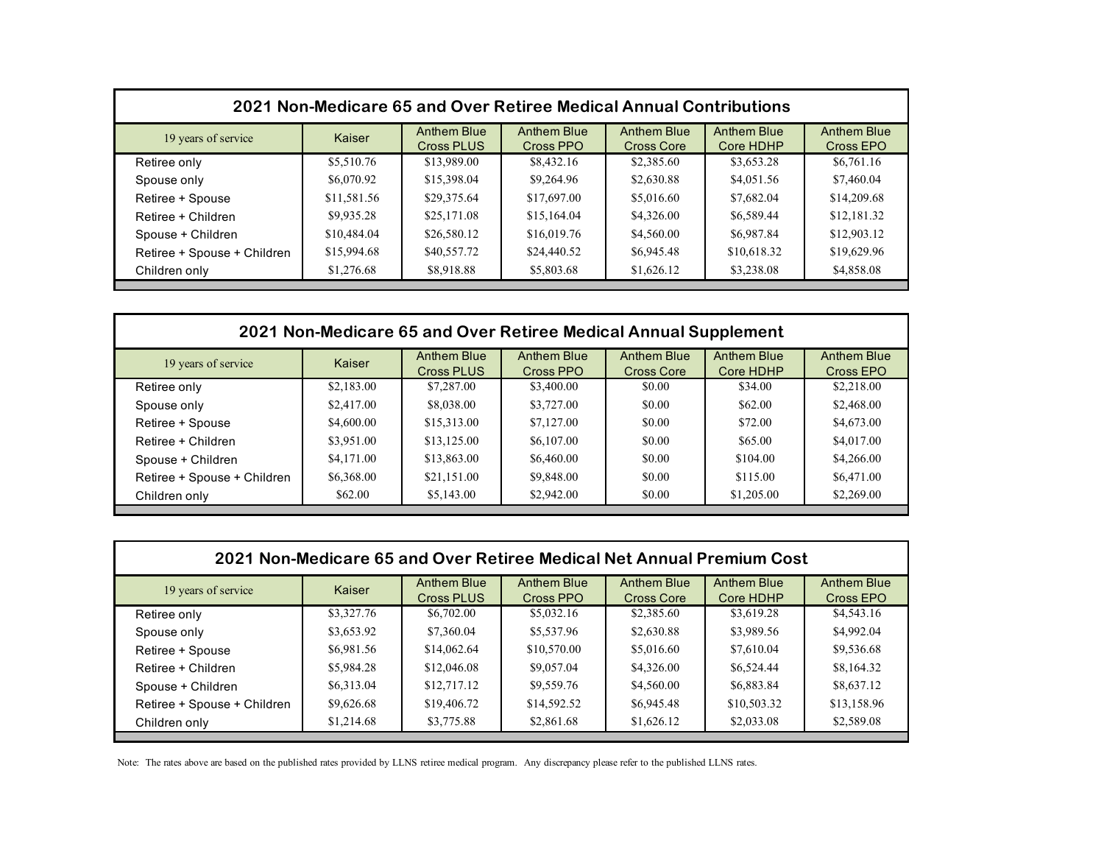| 2021 Non-Medicare 65 and Over Retiree Medical Annual Contributions |             |                                         |                                 |                                         |                                 |                                 |  |
|--------------------------------------------------------------------|-------------|-----------------------------------------|---------------------------------|-----------------------------------------|---------------------------------|---------------------------------|--|
| 19 years of service                                                | Kaiser      | <b>Anthem Blue</b><br><b>Cross PLUS</b> | <b>Anthem Blue</b><br>Cross PPO | <b>Anthem Blue</b><br><b>Cross Core</b> | <b>Anthem Blue</b><br>Core HDHP | <b>Anthem Blue</b><br>Cross EPO |  |
| Retiree only                                                       | \$5,510.76  | \$13,989.00                             | \$8,432.16                      | \$2,385.60                              | \$3,653.28                      | \$6,761.16                      |  |
| Spouse only                                                        | \$6,070.92  | \$15,398.04                             | \$9,264.96                      | \$2,630.88                              | \$4,051.56                      | \$7,460.04                      |  |
| Retiree + Spouse                                                   | \$11,581.56 | \$29,375.64                             | \$17,697.00                     | \$5,016.60                              | \$7,682.04                      | \$14,209.68                     |  |
| Retiree + Children                                                 | \$9,935.28  | \$25,171.08                             | \$15,164.04                     | \$4,326.00                              | \$6,589.44                      | \$12,181.32                     |  |
| Spouse + Children                                                  | \$10,484.04 | \$26,580.12                             | \$16,019.76                     | \$4,560.00                              | \$6,987.84                      | \$12,903.12                     |  |
| Retiree + Spouse + Children                                        | \$15,994.68 | \$40,557.72                             | \$24,440.52                     | \$6,945.48                              | \$10,618.32                     | \$19,629.96                     |  |
| Children only                                                      | \$1,276.68  | \$8,918.88                              | \$5,803.68                      | \$1,626.12                              | \$3,238.08                      | \$4,858.08                      |  |

| 2021 Non-Medicare 65 and Over Retiree Medical Annual Supplement |            |                                         |                                 |                           |                                 |                                 |  |
|-----------------------------------------------------------------|------------|-----------------------------------------|---------------------------------|---------------------------|---------------------------------|---------------------------------|--|
| 19 years of service                                             | Kaiser     | <b>Anthem Blue</b><br><b>Cross PLUS</b> | <b>Anthem Blue</b><br>Cross PPO | Anthem Blue<br>Cross Core | <b>Anthem Blue</b><br>Core HDHP | <b>Anthem Blue</b><br>Cross EPO |  |
| Retiree only                                                    | \$2,183.00 | \$7,287.00                              | \$3,400.00                      | \$0.00                    | \$34.00                         | \$2,218.00                      |  |
| Spouse only                                                     | \$2,417.00 | \$8,038.00                              | \$3,727.00                      | \$0.00                    | \$62.00                         | \$2,468.00                      |  |
| Retiree + Spouse                                                | \$4,600.00 | \$15,313.00                             | \$7,127.00                      | \$0.00                    | \$72.00                         | \$4,673.00                      |  |
| Retiree + Children                                              | \$3,951.00 | \$13,125.00                             | \$6,107.00                      | \$0.00                    | \$65.00                         | \$4,017.00                      |  |
| Spouse + Children                                               | \$4,171.00 | \$13,863.00                             | \$6,460.00                      | \$0.00                    | \$104.00                        | \$4,266.00                      |  |
| Retiree + Spouse + Children                                     | \$6,368.00 | \$21,151.00                             | \$9,848.00                      | \$0.00                    | \$115.00                        | \$6,471.00                      |  |
| Children only                                                   | \$62.00    | \$5,143.00                              | \$2,942.00                      | \$0.00                    | \$1,205.00                      | \$2,269.00                      |  |

| 2021 Non-Medicare 65 and Over Retiree Medical Net Annual Premium Cost |            |                                         |                                 |                                  |                                 |                          |  |
|-----------------------------------------------------------------------|------------|-----------------------------------------|---------------------------------|----------------------------------|---------------------------------|--------------------------|--|
| 19 years of service                                                   | Kaiser     | <b>Anthem Blue</b><br><b>Cross PLUS</b> | <b>Anthem Blue</b><br>Cross PPO | <b>Anthem Blue</b><br>Cross Core | <b>Anthem Blue</b><br>Core HDHP | Anthem Blue<br>Cross EPO |  |
| Retiree only                                                          | \$3,327.76 | \$6,702.00                              | \$5,032.16                      | \$2,385.60                       | \$3,619.28                      | \$4,543.16               |  |
| Spouse only                                                           | \$3,653.92 | \$7,360.04                              | \$5,537.96                      | \$2,630.88                       | \$3,989.56                      | \$4,992.04               |  |
| Retiree + Spouse                                                      | \$6,981.56 | \$14,062.64                             | \$10,570.00                     | \$5,016.60                       | \$7,610.04                      | \$9,536.68               |  |
| Retiree + Children                                                    | \$5,984.28 | \$12,046.08                             | \$9,057.04                      | \$4,326.00                       | \$6,524.44                      | \$8,164.32               |  |
| Spouse + Children                                                     | \$6,313.04 | \$12,717.12                             | \$9,559.76                      | \$4,560.00                       | \$6,883.84                      | \$8,637.12               |  |
| Retiree + Spouse + Children                                           | \$9,626.68 | \$19,406.72                             | \$14,592.52                     | \$6,945.48                       | \$10,503.32                     | \$13,158.96              |  |
| Children only                                                         | \$1,214.68 | \$3,775.88                              | \$2,861.68                      | \$1,626.12                       | \$2,033.08                      | \$2,589.08               |  |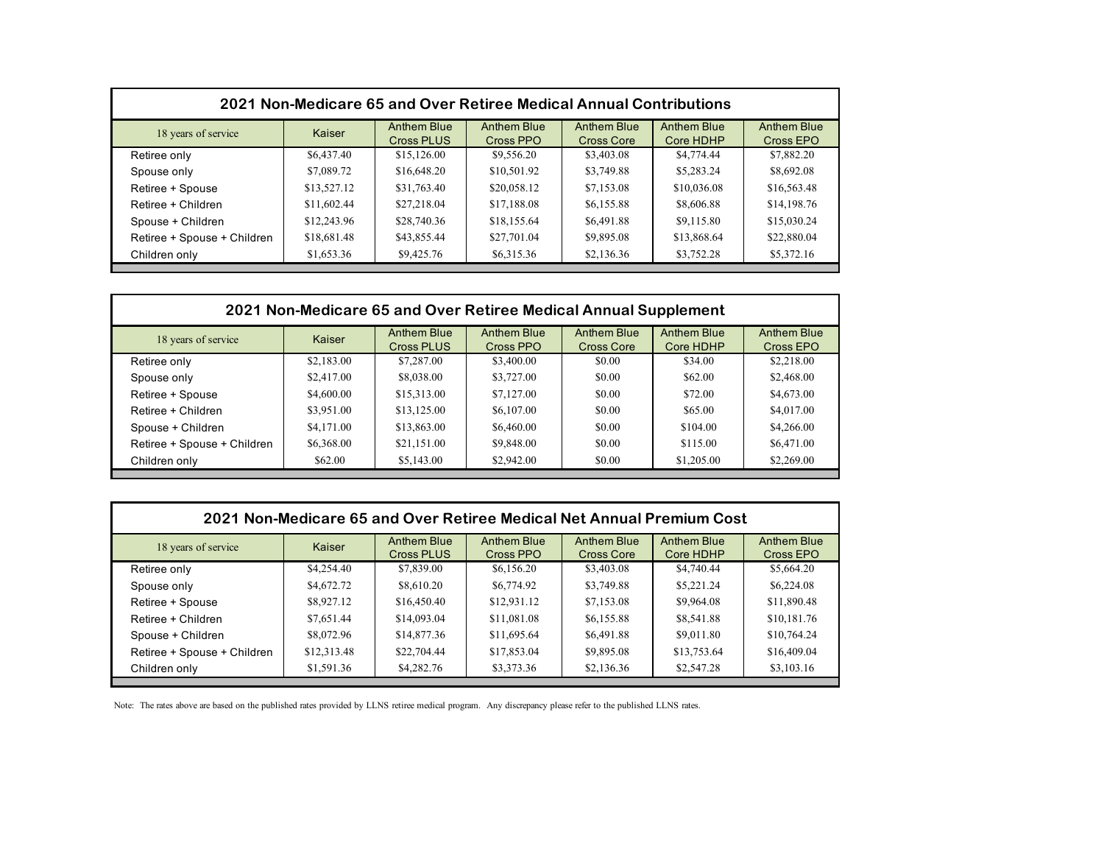| 2021 Non-Medicare 65 and Over Retiree Medical Annual Contributions |             |                                  |                                 |                                  |                                 |                          |  |
|--------------------------------------------------------------------|-------------|----------------------------------|---------------------------------|----------------------------------|---------------------------------|--------------------------|--|
| 18 years of service                                                | Kaiser      | Anthem Blue<br><b>Cross PLUS</b> | <b>Anthem Blue</b><br>Cross PPO | Anthem Blue<br><b>Cross Core</b> | <b>Anthem Blue</b><br>Core HDHP | Anthem Blue<br>Cross EPO |  |
| Retiree only                                                       | \$6,437.40  | \$15,126.00                      | \$9,556.20                      | \$3,403.08                       | \$4,774.44                      | \$7,882.20               |  |
| Spouse only                                                        | \$7,089.72  | \$16,648.20                      | \$10,501.92                     | \$3,749.88                       | \$5,283.24                      | \$8,692.08               |  |
| Retiree + Spouse                                                   | \$13,527.12 | \$31,763.40                      | \$20,058.12                     | \$7,153.08                       | \$10,036.08                     | \$16,563.48              |  |
| Retiree + Children                                                 | \$11,602.44 | \$27,218.04                      | \$17,188.08                     | \$6,155.88                       | \$8,606.88                      | \$14,198.76              |  |
| Spouse + Children                                                  | \$12,243.96 | \$28,740.36                      | \$18,155.64                     | \$6,491.88                       | \$9,115.80                      | \$15,030.24              |  |
| Retiree + Spouse + Children                                        | \$18,681.48 | \$43,855.44                      | \$27,701.04                     | \$9,895.08                       | \$13,868.64                     | \$22,880.04              |  |
| Children only                                                      | \$1,653.36  | \$9,425.76                       | \$6,315.36                      | \$2,136.36                       | \$3,752.28                      | \$5,372.16               |  |

| 2021 Non-Medicare 65 and Over Retiree Medical Annual Supplement |            |                                  |                                 |                                         |                                 |                          |  |
|-----------------------------------------------------------------|------------|----------------------------------|---------------------------------|-----------------------------------------|---------------------------------|--------------------------|--|
| 18 years of service                                             | Kaiser     | Anthem Blue<br><b>Cross PLUS</b> | <b>Anthem Blue</b><br>Cross PPO | <b>Anthem Blue</b><br><b>Cross Core</b> | <b>Anthem Blue</b><br>Core HDHP | Anthem Blue<br>Cross EPO |  |
| Retiree only                                                    | \$2,183.00 | \$7,287.00                       | \$3,400.00                      | \$0.00                                  | \$34.00                         | \$2,218.00               |  |
| Spouse only                                                     | \$2,417.00 | \$8,038.00                       | \$3,727.00                      | \$0.00                                  | \$62.00                         | \$2,468.00               |  |
| Retiree + Spouse                                                | \$4,600.00 | \$15,313.00                      | \$7,127.00                      | \$0.00                                  | \$72.00                         | \$4,673.00               |  |
| Retiree + Children                                              | \$3,951.00 | \$13,125.00                      | \$6,107.00                      | \$0.00                                  | \$65.00                         | \$4,017.00               |  |
| Spouse + Children                                               | \$4,171.00 | \$13,863.00                      | \$6,460.00                      | \$0.00                                  | \$104.00                        | \$4,266.00               |  |
| Retiree + Spouse + Children                                     | \$6,368.00 | \$21,151.00                      | \$9,848.00                      | \$0.00                                  | \$115.00                        | \$6,471.00               |  |
| Children only                                                   | \$62.00    | \$5,143.00                       | \$2,942.00                      | \$0.00                                  | \$1,205.00                      | \$2,269.00               |  |

| 2021 Non-Medicare 65 and Over Retiree Medical Net Annual Premium Cost |             |                                  |                                 |                           |                                 |                          |  |
|-----------------------------------------------------------------------|-------------|----------------------------------|---------------------------------|---------------------------|---------------------------------|--------------------------|--|
| 18 years of service                                                   | Kaiser      | Anthem Blue<br><b>Cross PLUS</b> | <b>Anthem Blue</b><br>Cross PPO | Anthem Blue<br>Cross Core | <b>Anthem Blue</b><br>Core HDHP | Anthem Blue<br>Cross EPO |  |
| Retiree only                                                          | \$4,254.40  | \$7,839.00                       | \$6,156.20                      | \$3,403.08                | \$4,740.44                      | \$5,664.20               |  |
| Spouse only                                                           | \$4,672.72  | \$8,610.20                       | \$6,774.92                      | \$3,749.88                | \$5,221.24                      | \$6,224.08               |  |
| Retiree + Spouse                                                      | \$8,927.12  | \$16,450.40                      | \$12,931.12                     | \$7,153.08                | \$9,964.08                      | \$11,890.48              |  |
| Retiree + Children                                                    | \$7,651.44  | \$14,093.04                      | \$11,081.08                     | \$6,155.88                | \$8,541.88                      | \$10,181.76              |  |
| Spouse + Children                                                     | \$8,072.96  | \$14,877.36                      | \$11,695.64                     | \$6,491.88                | \$9,011.80                      | \$10,764.24              |  |
| Retiree + Spouse + Children                                           | \$12,313.48 | \$22,704.44                      | \$17,853.04                     | \$9,895.08                | \$13,753.64                     | \$16,409.04              |  |
| Children only                                                         | \$1,591.36  | \$4,282.76                       | \$3,373.36                      | \$2,136.36                | \$2,547.28                      | \$3,103.16               |  |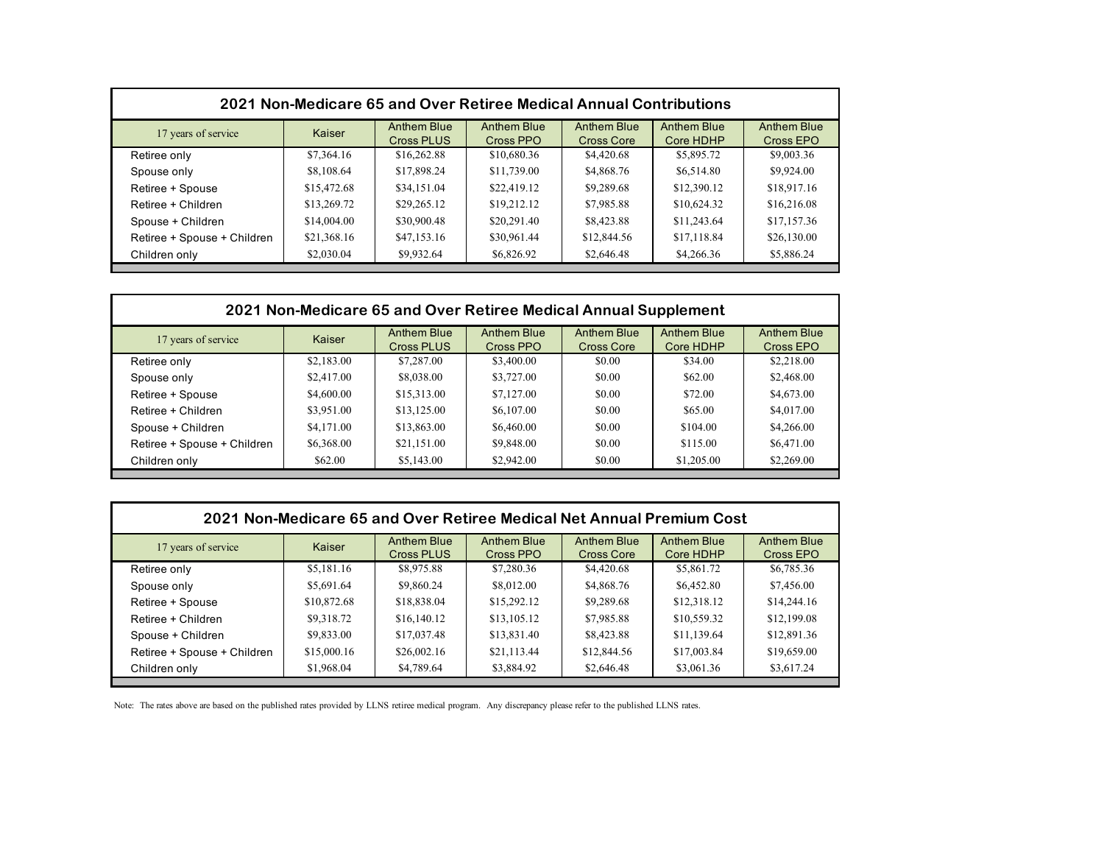| 2021 Non-Medicare 65 and Over Retiree Medical Annual Contributions |             |                                         |                                 |                           |                          |                                 |  |
|--------------------------------------------------------------------|-------------|-----------------------------------------|---------------------------------|---------------------------|--------------------------|---------------------------------|--|
| 17 years of service                                                | Kaiser      | <b>Anthem Blue</b><br><b>Cross PLUS</b> | <b>Anthem Blue</b><br>Cross PPO | Anthem Blue<br>Cross Core | Anthem Blue<br>Core HDHP | <b>Anthem Blue</b><br>Cross EPO |  |
| Retiree only                                                       | \$7,364.16  | \$16,262.88                             | \$10,680.36                     | \$4,420.68                | \$5,895.72               | \$9,003.36                      |  |
| Spouse only                                                        | \$8,108.64  | \$17,898.24                             | \$11,739.00                     | \$4,868.76                | \$6,514.80               | \$9,924.00                      |  |
| Retiree + Spouse                                                   | \$15,472.68 | \$34,151.04                             | \$22,419.12                     | \$9,289.68                | \$12,390.12              | \$18,917.16                     |  |
| Retiree + Children                                                 | \$13,269.72 | \$29,265.12                             | \$19,212.12                     | \$7,985.88                | \$10,624.32              | \$16,216.08                     |  |
| Spouse + Children                                                  | \$14,004.00 | \$30,900.48                             | \$20,291.40                     | \$8,423.88                | \$11,243.64              | \$17,157.36                     |  |
| Retiree + Spouse + Children                                        | \$21,368.16 | \$47,153.16                             | \$30,961.44                     | \$12,844.56               | \$17,118.84              | \$26,130.00                     |  |
| Children only                                                      | \$2,030.04  | \$9,932.64                              | \$6,826.92                      | \$2,646.48                | \$4,266.36               | \$5,886.24                      |  |

| 2021 Non-Medicare 65 and Over Retiree Medical Annual Supplement |                    |                    |                    |                    |                                 |  |  |
|-----------------------------------------------------------------|--------------------|--------------------|--------------------|--------------------|---------------------------------|--|--|
| Kaiser                                                          | <b>Anthem Blue</b> | <b>Anthem Blue</b> | <b>Anthem Blue</b> | <b>Anthem Blue</b> | <b>Anthem Blue</b><br>Cross EPO |  |  |
| \$2,183.00                                                      | \$7,287.00         | \$3,400.00         | \$0.00             | \$34.00            | \$2,218.00                      |  |  |
| \$2,417.00                                                      | \$8,038.00         | \$3,727.00         | \$0.00             | \$62.00            | \$2,468.00                      |  |  |
| \$4,600.00                                                      | \$15,313.00        | \$7,127.00         | \$0.00             | \$72.00            | \$4,673.00                      |  |  |
| \$3,951.00                                                      | \$13,125.00        | \$6,107.00         | \$0.00             | \$65.00            | \$4,017.00                      |  |  |
| \$4,171.00                                                      | \$13,863.00        | \$6,460.00         | \$0.00             | \$104.00           | \$4,266.00                      |  |  |
| \$6,368.00                                                      | \$21,151.00        | \$9,848.00         | \$0.00             | \$115.00           | \$6,471.00                      |  |  |
| \$62.00                                                         | \$5,143.00         | \$2,942.00         | \$0.00             | \$1,205.00         | \$2,269.00                      |  |  |
|                                                                 |                    | Cross PLUS         | Cross PPO          | <b>Cross Core</b>  | Core HDHP                       |  |  |

| 2021 Non-Medicare 65 and Over Retiree Medical Net Annual Premium Cost |             |                                  |                                 |                           |                                 |                          |  |
|-----------------------------------------------------------------------|-------------|----------------------------------|---------------------------------|---------------------------|---------------------------------|--------------------------|--|
| 17 years of service                                                   | Kaiser      | Anthem Blue<br><b>Cross PLUS</b> | <b>Anthem Blue</b><br>Cross PPO | Anthem Blue<br>Cross Core | <b>Anthem Blue</b><br>Core HDHP | Anthem Blue<br>Cross EPO |  |
| Retiree only                                                          | \$5,181.16  | \$8,975.88                       | \$7,280.36                      | \$4,420.68                | \$5,861.72                      | \$6,785.36               |  |
| Spouse only                                                           | \$5,691.64  | \$9,860.24                       | \$8,012.00                      | \$4,868.76                | \$6,452.80                      | \$7,456.00               |  |
| Retiree + Spouse                                                      | \$10,872.68 | \$18,838.04                      | \$15,292.12                     | \$9,289.68                | \$12,318.12                     | \$14,244.16              |  |
| Retiree + Children                                                    | \$9,318.72  | \$16,140.12                      | \$13,105.12                     | \$7,985.88                | \$10,559.32                     | \$12,199.08              |  |
| Spouse + Children                                                     | \$9,833.00  | \$17,037.48                      | \$13,831.40                     | \$8,423.88                | \$11,139.64                     | \$12,891.36              |  |
| Retiree + Spouse + Children                                           | \$15,000.16 | \$26,002.16                      | \$21,113.44                     | \$12,844.56               | \$17,003.84                     | \$19,659.00              |  |
| Children only                                                         | \$1,968.04  | \$4,789.64                       | \$3,884.92                      | \$2,646.48                | \$3,061.36                      | \$3,617.24               |  |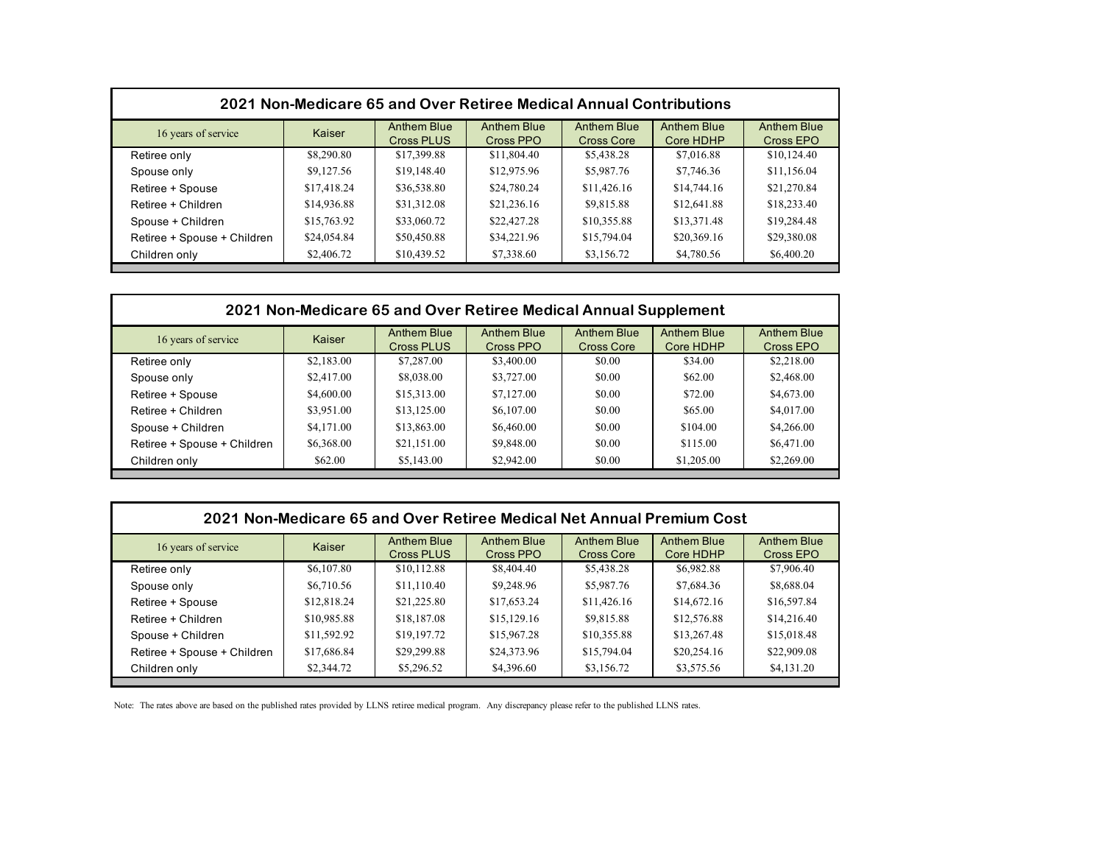| 2021 Non-Medicare 65 and Over Retiree Medical Annual Contributions |             |                                  |                                 |                                  |                          |                                 |  |
|--------------------------------------------------------------------|-------------|----------------------------------|---------------------------------|----------------------------------|--------------------------|---------------------------------|--|
| 16 years of service                                                | Kaiser      | Anthem Blue<br><b>Cross PLUS</b> | <b>Anthem Blue</b><br>Cross PPO | <b>Anthem Blue</b><br>Cross Core | Anthem Blue<br>Core HDHP | <b>Anthem Blue</b><br>Cross EPO |  |
| Retiree only                                                       | \$8,290.80  | \$17,399.88                      | \$11,804.40                     | \$5,438.28                       | \$7,016.88               | \$10,124.40                     |  |
| Spouse only                                                        | \$9,127.56  | \$19,148.40                      | \$12,975.96                     | \$5,987.76                       | \$7,746.36               | \$11,156.04                     |  |
| Retiree + Spouse                                                   | \$17,418.24 | \$36,538.80                      | \$24,780.24                     | \$11,426.16                      | \$14,744.16              | \$21,270.84                     |  |
| Retiree + Children                                                 | \$14,936.88 | \$31,312.08                      | \$21,236.16                     | \$9,815.88                       | \$12,641.88              | \$18,233.40                     |  |
| Spouse + Children                                                  | \$15,763.92 | \$33,060.72                      | \$22,427.28                     | \$10,355.88                      | \$13,371.48              | \$19,284.48                     |  |
| Retiree + Spouse + Children                                        | \$24,054.84 | \$50,450.88                      | \$34,221.96                     | \$15,794.04                      | \$20,369.16              | \$29,380.08                     |  |
| Children only                                                      | \$2,406.72  | \$10,439.52                      | \$7,338.60                      | \$3,156.72                       | \$4,780.56               | \$6,400.20                      |  |

| 2021 Non-Medicare 65 and Over Retiree Medical Annual Supplement |                    |                    |                    |                    |                                 |  |
|-----------------------------------------------------------------|--------------------|--------------------|--------------------|--------------------|---------------------------------|--|
| Kaiser                                                          | <b>Anthem Blue</b> | <b>Anthem Blue</b> | <b>Anthem Blue</b> | <b>Anthem Blue</b> | <b>Anthem Blue</b><br>Cross EPO |  |
| \$2,183.00                                                      | \$7,287.00         | \$3,400.00         | \$0.00             | \$34.00            | \$2,218.00                      |  |
| \$2,417.00                                                      | \$8,038.00         | \$3,727.00         | \$0.00             | \$62.00            | \$2,468.00                      |  |
| \$4,600.00                                                      | \$15,313.00        | \$7,127.00         | \$0.00             | \$72.00            | \$4,673.00                      |  |
| \$3,951.00                                                      | \$13,125.00        | \$6,107.00         | \$0.00             | \$65.00            | \$4,017.00                      |  |
| \$4,171.00                                                      | \$13,863.00        | \$6,460.00         | \$0.00             | \$104.00           | \$4,266.00                      |  |
| \$6,368.00                                                      | \$21,151.00        | \$9,848.00         | \$0.00             | \$115.00           | \$6,471.00                      |  |
| \$62.00                                                         | \$5,143.00         | \$2,942.00         | \$0.00             | \$1,205.00         | \$2,269.00                      |  |
|                                                                 |                    | Cross PLUS         | Cross PPO          | <b>Cross Core</b>  | Core HDHP                       |  |

| 2021 Non-Medicare 65 and Over Retiree Medical Net Annual Premium Cost |             |                                         |                                 |                           |                                 |                          |  |
|-----------------------------------------------------------------------|-------------|-----------------------------------------|---------------------------------|---------------------------|---------------------------------|--------------------------|--|
| 16 years of service                                                   | Kaiser      | <b>Anthem Blue</b><br><b>Cross PLUS</b> | <b>Anthem Blue</b><br>Cross PPO | Anthem Blue<br>Cross Core | <b>Anthem Blue</b><br>Core HDHP | Anthem Blue<br>Cross EPO |  |
| Retiree only                                                          | \$6,107.80  | \$10,112.88                             | \$8,404.40                      | \$5,438.28                | \$6,982.88                      | \$7,906.40               |  |
| Spouse only                                                           | \$6,710.56  | \$11,110.40                             | \$9,248.96                      | \$5,987.76                | \$7,684.36                      | \$8,688.04               |  |
| Retiree + Spouse                                                      | \$12,818.24 | \$21,225.80                             | \$17,653.24                     | \$11,426.16               | \$14,672.16                     | \$16,597.84              |  |
| Retiree + Children                                                    | \$10,985.88 | \$18,187.08                             | \$15,129.16                     | \$9,815.88                | \$12,576.88                     | \$14,216.40              |  |
| Spouse + Children                                                     | \$11,592.92 | \$19,197.72                             | \$15,967.28                     | \$10,355.88               | \$13,267.48                     | \$15,018.48              |  |
| Retiree + Spouse + Children                                           | \$17,686.84 | \$29,299.88                             | \$24,373.96                     | \$15,794.04               | \$20,254.16                     | \$22,909.08              |  |
| Children only                                                         | \$2,344.72  | \$5,296.52                              | \$4,396.60                      | \$3,156.72                | \$3,575.56                      | \$4,131.20               |  |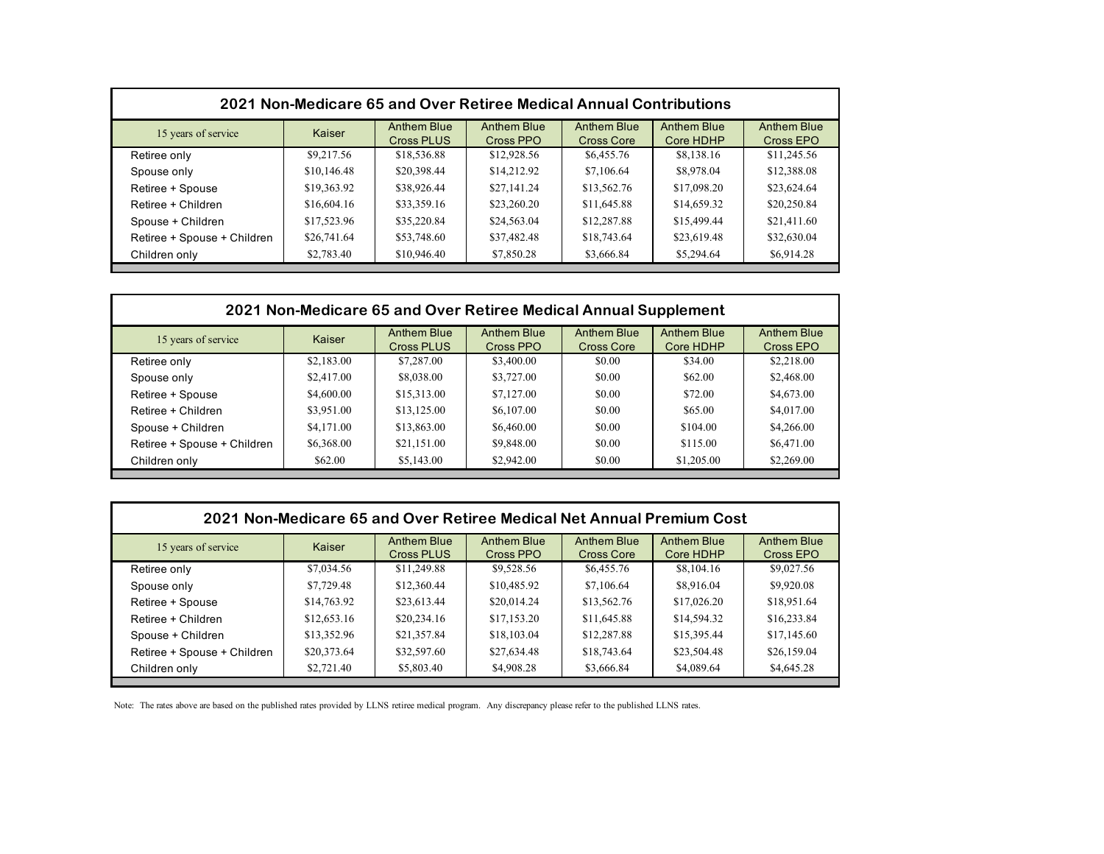| 2021 Non-Medicare 65 and Over Retiree Medical Annual Contributions |             |                                  |                                 |                                         |                                 |                          |  |
|--------------------------------------------------------------------|-------------|----------------------------------|---------------------------------|-----------------------------------------|---------------------------------|--------------------------|--|
| 15 years of service                                                | Kaiser      | <b>Anthem Blue</b><br>Cross PLUS | <b>Anthem Blue</b><br>Cross PPO | <b>Anthem Blue</b><br><b>Cross Core</b> | <b>Anthem Blue</b><br>Core HDHP | Anthem Blue<br>Cross EPO |  |
| Retiree only                                                       | \$9,217.56  | \$18,536.88                      | \$12,928.56                     | \$6,455.76                              | \$8,138.16                      | \$11,245.56              |  |
| Spouse only                                                        | \$10,146.48 | \$20,398.44                      | \$14,212.92                     | \$7,106.64                              | \$8,978.04                      | \$12,388.08              |  |
| Retiree + Spouse                                                   | \$19,363.92 | \$38,926.44                      | \$27,141.24                     | \$13,562.76                             | \$17,098.20                     | \$23,624.64              |  |
| Retiree + Children                                                 | \$16,604.16 | \$33,359.16                      | \$23,260.20                     | \$11,645.88                             | \$14,659.32                     | \$20,250.84              |  |
| Spouse + Children                                                  | \$17,523.96 | \$35,220.84                      | \$24,563.04                     | \$12,287.88                             | \$15,499.44                     | \$21,411.60              |  |
| Retiree + Spouse + Children                                        | \$26,741.64 | \$53,748.60                      | \$37,482.48                     | \$18,743.64                             | \$23,619.48                     | \$32,630.04              |  |
| Children only                                                      | \$2,783.40  | \$10,946.40                      | \$7,850.28                      | \$3,666.84                              | \$5,294.64                      | \$6,914.28               |  |

| 2021 Non-Medicare 65 and Over Retiree Medical Annual Supplement |            |                                  |                                 |                                         |                                 |                                 |
|-----------------------------------------------------------------|------------|----------------------------------|---------------------------------|-----------------------------------------|---------------------------------|---------------------------------|
| 15 years of service                                             | Kaiser     | <b>Anthem Blue</b><br>Cross PLUS | <b>Anthem Blue</b><br>Cross PPO | <b>Anthem Blue</b><br><b>Cross Core</b> | <b>Anthem Blue</b><br>Core HDHP | <b>Anthem Blue</b><br>Cross EPO |
| Retiree only                                                    | \$2,183.00 | \$7,287.00                       | \$3,400.00                      | \$0.00                                  | \$34.00                         | \$2,218.00                      |
| Spouse only                                                     | \$2,417.00 | \$8,038.00                       | \$3,727.00                      | \$0.00                                  | \$62.00                         | \$2,468.00                      |
| Retiree + Spouse                                                | \$4,600.00 | \$15,313.00                      | \$7,127.00                      | \$0.00                                  | \$72.00                         | \$4,673.00                      |
| Retiree + Children                                              | \$3,951.00 | \$13,125.00                      | \$6,107.00                      | \$0.00                                  | \$65.00                         | \$4,017.00                      |
| Spouse + Children                                               | \$4,171.00 | \$13,863.00                      | \$6,460.00                      | \$0.00                                  | \$104.00                        | \$4,266.00                      |
| Retiree + Spouse + Children                                     | \$6,368.00 | \$21,151.00                      | \$9,848.00                      | \$0.00                                  | \$115.00                        | \$6,471.00                      |
| Children only                                                   | \$62.00    | \$5,143.00                       | \$2,942.00                      | \$0.00                                  | \$1,205.00                      | \$2,269.00                      |

| 2021 Non-Medicare 65 and Over Retiree Medical Net Annual Premium Cost |             |                                  |                                 |                           |                                 |                                 |  |
|-----------------------------------------------------------------------|-------------|----------------------------------|---------------------------------|---------------------------|---------------------------------|---------------------------------|--|
| 15 years of service                                                   | Kaiser      | Anthem Blue<br><b>Cross PLUS</b> | <b>Anthem Blue</b><br>Cross PPO | Anthem Blue<br>Cross Core | <b>Anthem Blue</b><br>Core HDHP | <b>Anthem Blue</b><br>Cross EPO |  |
| Retiree only                                                          | \$7,034.56  | \$11,249.88                      | \$9,528.56                      | \$6,455.76                | \$8,104.16                      | \$9,027.56                      |  |
| Spouse only                                                           | \$7,729.48  | \$12,360.44                      | \$10,485.92                     | \$7,106.64                | \$8,916.04                      | \$9,920.08                      |  |
| Retiree + Spouse                                                      | \$14,763.92 | \$23,613.44                      | \$20,014.24                     | \$13,562.76               | \$17,026.20                     | \$18,951.64                     |  |
| Retiree + Children                                                    | \$12,653.16 | \$20,234.16                      | \$17,153.20                     | \$11,645.88               | \$14,594.32                     | \$16,233.84                     |  |
| Spouse + Children                                                     | \$13,352.96 | \$21,357.84                      | \$18,103.04                     | \$12,287.88               | \$15,395.44                     | \$17,145.60                     |  |
| Retiree + Spouse + Children                                           | \$20,373.64 | \$32,597.60                      | \$27,634.48                     | \$18,743.64               | \$23,504.48                     | \$26,159.04                     |  |
| Children only                                                         | \$2,721.40  | \$5,803.40                       | \$4,908.28                      | \$3,666.84                | \$4,089.64                      | \$4,645.28                      |  |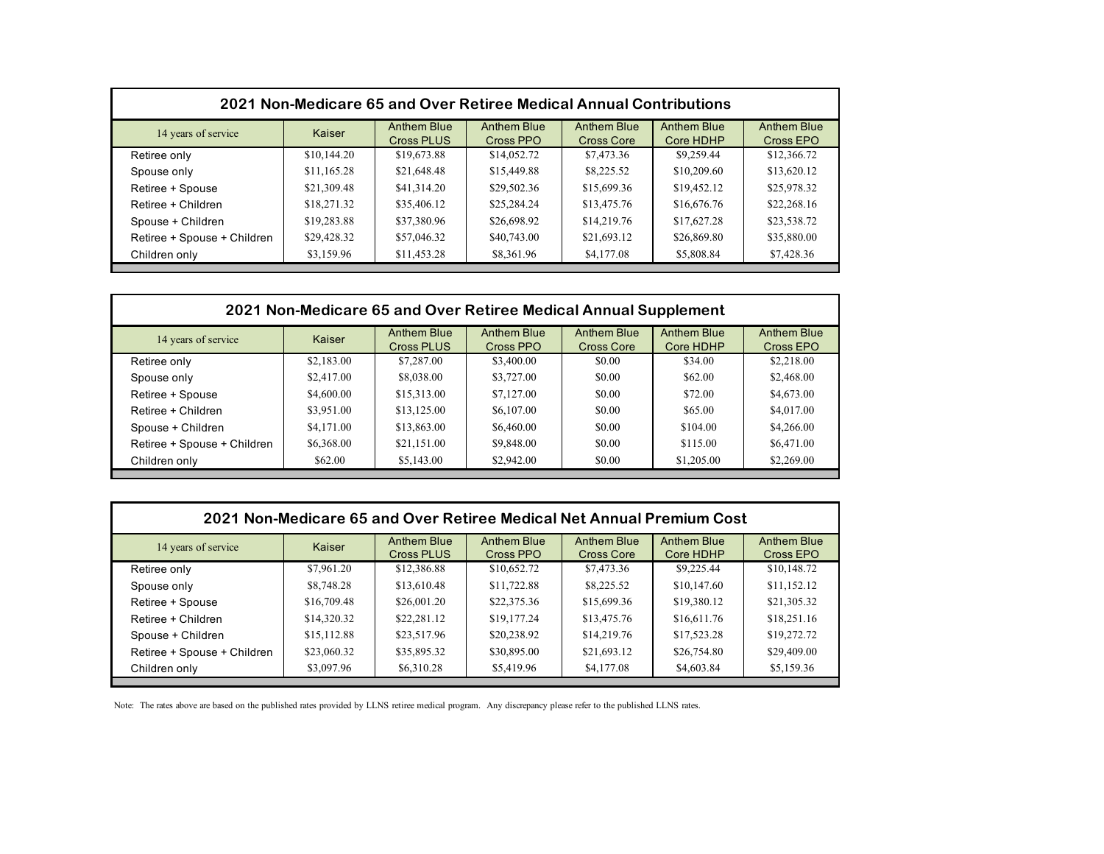| 2021 Non-Medicare 65 and Over Retiree Medical Annual Contributions |             |                                  |                                 |                                  |                          |                                 |  |
|--------------------------------------------------------------------|-------------|----------------------------------|---------------------------------|----------------------------------|--------------------------|---------------------------------|--|
| 14 years of service                                                | Kaiser      | Anthem Blue<br><b>Cross PLUS</b> | <b>Anthem Blue</b><br>Cross PPO | <b>Anthem Blue</b><br>Cross Core | Anthem Blue<br>Core HDHP | <b>Anthem Blue</b><br>Cross EPO |  |
| Retiree only                                                       | \$10,144.20 | \$19,673.88                      | \$14,052.72                     | \$7,473.36                       | \$9,259.44               | \$12,366.72                     |  |
| Spouse only                                                        | \$11,165.28 | \$21,648.48                      | \$15,449.88                     | \$8,225.52                       | \$10,209.60              | \$13,620.12                     |  |
| Retiree + Spouse                                                   | \$21,309.48 | \$41,314.20                      | \$29,502.36                     | \$15,699.36                      | \$19,452.12              | \$25,978.32                     |  |
| Retiree + Children                                                 | \$18,271.32 | \$35,406.12                      | \$25,284.24                     | \$13,475.76                      | \$16,676.76              | \$22,268.16                     |  |
| Spouse + Children                                                  | \$19,283.88 | \$37,380.96                      | \$26,698.92                     | \$14,219.76                      | \$17,627.28              | \$23,538.72                     |  |
| Retiree + Spouse + Children                                        | \$29,428.32 | \$57,046.32                      | \$40,743.00                     | \$21,693.12                      | \$26,869.80              | \$35,880.00                     |  |
| Children only                                                      | \$3,159.96  | \$11,453.28                      | \$8,361.96                      | \$4,177.08                       | \$5,808.84               | \$7,428.36                      |  |

| 2021 Non-Medicare 65 and Over Retiree Medical Annual Supplement |            |                                  |                                 |                                         |                                 |                          |
|-----------------------------------------------------------------|------------|----------------------------------|---------------------------------|-----------------------------------------|---------------------------------|--------------------------|
| 14 years of service                                             | Kaiser     | Anthem Blue<br><b>Cross PLUS</b> | <b>Anthem Blue</b><br>Cross PPO | <b>Anthem Blue</b><br><b>Cross Core</b> | <b>Anthem Blue</b><br>Core HDHP | Anthem Blue<br>Cross EPO |
| Retiree only                                                    | \$2,183.00 | \$7,287.00                       | \$3,400.00                      | \$0.00                                  | \$34.00                         | \$2,218.00               |
| Spouse only                                                     | \$2,417.00 | \$8,038.00                       | \$3,727.00                      | \$0.00                                  | \$62.00                         | \$2,468.00               |
| Retiree + Spouse                                                | \$4,600.00 | \$15,313.00                      | \$7,127.00                      | \$0.00                                  | \$72.00                         | \$4,673.00               |
| Retiree + Children                                              | \$3,951.00 | \$13,125.00                      | \$6,107.00                      | \$0.00                                  | \$65.00                         | \$4,017.00               |
| Spouse + Children                                               | \$4,171.00 | \$13,863.00                      | \$6,460.00                      | \$0.00                                  | \$104.00                        | \$4,266.00               |
| Retiree + Spouse + Children                                     | \$6,368.00 | \$21,151.00                      | \$9,848.00                      | \$0.00                                  | \$115.00                        | \$6,471.00               |
| Children only                                                   | \$62.00    | \$5,143.00                       | \$2,942.00                      | \$0.00                                  | \$1,205.00                      | \$2,269.00               |

| 2021 Non-Medicare 65 and Over Retiree Medical Net Annual Premium Cost |             |                                         |                                 |                                         |                                 |                                 |  |
|-----------------------------------------------------------------------|-------------|-----------------------------------------|---------------------------------|-----------------------------------------|---------------------------------|---------------------------------|--|
| 14 years of service                                                   | Kaiser      | <b>Anthem Blue</b><br><b>Cross PLUS</b> | <b>Anthem Blue</b><br>Cross PPO | <b>Anthem Blue</b><br><b>Cross Core</b> | <b>Anthem Blue</b><br>Core HDHP | <b>Anthem Blue</b><br>Cross EPO |  |
| Retiree only                                                          | \$7,961.20  | \$12,386.88                             | \$10,652.72                     | \$7,473.36                              | \$9,225.44                      | \$10,148.72                     |  |
| Spouse only                                                           | \$8,748.28  | \$13,610.48                             | \$11,722.88                     | \$8,225.52                              | \$10,147.60                     | \$11,152.12                     |  |
| Retiree + Spouse                                                      | \$16,709.48 | \$26,001.20                             | \$22,375.36                     | \$15,699.36                             | \$19,380.12                     | \$21,305.32                     |  |
| Retiree + Children                                                    | \$14,320.32 | \$22,281.12                             | \$19,177.24                     | \$13,475.76                             | \$16,611.76                     | \$18,251.16                     |  |
| Spouse + Children                                                     | \$15,112.88 | \$23,517.96                             | \$20,238.92                     | \$14,219.76                             | \$17,523.28                     | \$19,272.72                     |  |
| Retiree + Spouse + Children                                           | \$23,060.32 | \$35,895.32                             | \$30,895.00                     | \$21,693.12                             | \$26,754.80                     | \$29,409.00                     |  |
| Children only                                                         | \$3,097.96  | \$6,310.28                              | \$5,419.96                      | \$4,177.08                              | \$4,603.84                      | \$5,159.36                      |  |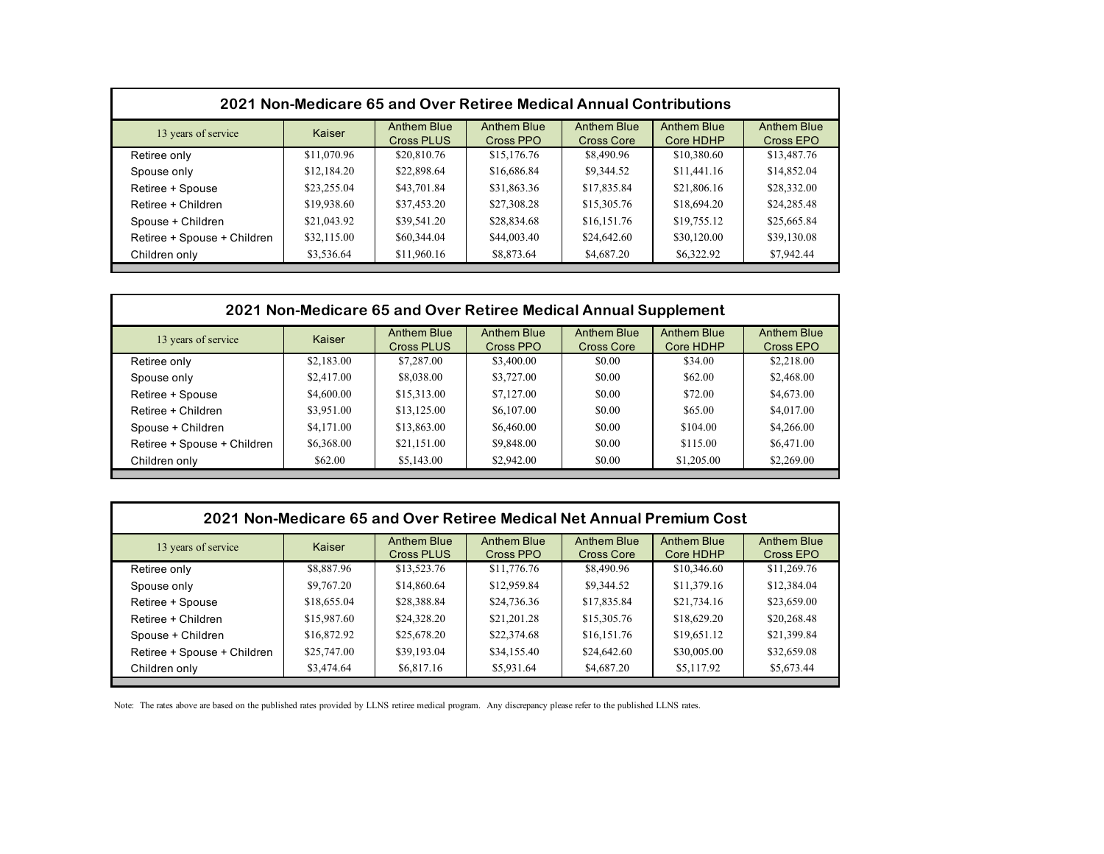| 2021 Non-Medicare 65 and Over Retiree Medical Annual Contributions |             |                                  |                                 |                                  |                          |                                 |  |
|--------------------------------------------------------------------|-------------|----------------------------------|---------------------------------|----------------------------------|--------------------------|---------------------------------|--|
| 13 years of service                                                | Kaiser      | Anthem Blue<br><b>Cross PLUS</b> | <b>Anthem Blue</b><br>Cross PPO | <b>Anthem Blue</b><br>Cross Core | Anthem Blue<br>Core HDHP | <b>Anthem Blue</b><br>Cross EPO |  |
| Retiree only                                                       | \$11,070.96 | \$20,810.76                      | \$15,176.76                     | \$8,490.96                       | \$10,380.60              | \$13,487.76                     |  |
| Spouse only                                                        | \$12,184.20 | \$22,898.64                      | \$16,686.84                     | \$9,344.52                       | \$11,441.16              | \$14,852.04                     |  |
| Retiree + Spouse                                                   | \$23,255.04 | \$43,701.84                      | \$31,863.36                     | \$17,835.84                      | \$21,806.16              | \$28,332.00                     |  |
| Retiree + Children                                                 | \$19,938.60 | \$37,453.20                      | \$27,308.28                     | \$15,305.76                      | \$18,694.20              | \$24,285.48                     |  |
| Spouse + Children                                                  | \$21,043.92 | \$39,541.20                      | \$28,834.68                     | \$16,151.76                      | \$19,755.12              | \$25,665.84                     |  |
| Retiree + Spouse + Children                                        | \$32,115.00 | \$60,344.04                      | \$44,003.40                     | \$24,642.60                      | \$30,120.00              | \$39,130.08                     |  |
| Children only                                                      | \$3,536.64  | \$11,960.16                      | \$8,873.64                      | \$4,687.20                       | \$6,322.92               | \$7,942.44                      |  |

| 2021 Non-Medicare 65 and Over Retiree Medical Annual Supplement |             |                    |                    |                    |                                 |  |
|-----------------------------------------------------------------|-------------|--------------------|--------------------|--------------------|---------------------------------|--|
| Kaiser                                                          | Anthem Blue | <b>Anthem Blue</b> | <b>Anthem Blue</b> | <b>Anthem Blue</b> | <b>Anthem Blue</b><br>Cross EPO |  |
| \$2,183.00                                                      | \$7,287.00  | \$3,400.00         | \$0.00             | \$34.00            | \$2,218.00                      |  |
| \$2,417.00                                                      | \$8,038.00  | \$3,727.00         | \$0.00             | \$62.00            | \$2,468.00                      |  |
| \$4,600.00                                                      | \$15,313.00 | \$7,127.00         | \$0.00             | \$72.00            | \$4,673.00                      |  |
| \$3,951.00                                                      | \$13,125.00 | \$6,107.00         | \$0.00             | \$65.00            | \$4,017.00                      |  |
| \$4,171.00                                                      | \$13,863.00 | \$6,460.00         | \$0.00             | \$104.00           | \$4,266.00                      |  |
| \$6,368.00                                                      | \$21,151.00 | \$9,848.00         | \$0.00             | \$115.00           | \$6,471.00                      |  |
| \$62.00                                                         | \$5,143.00  | \$2,942.00         | \$0.00             | \$1,205.00         | \$2,269.00                      |  |
|                                                                 |             | Cross PLUS         | Cross PPO          | <b>Cross Core</b>  | Core HDHP                       |  |

| 2021 Non-Medicare 65 and Over Retiree Medical Net Annual Premium Cost |             |                                  |                                 |                           |                                 |                          |  |
|-----------------------------------------------------------------------|-------------|----------------------------------|---------------------------------|---------------------------|---------------------------------|--------------------------|--|
| 13 years of service                                                   | Kaiser      | Anthem Blue<br><b>Cross PLUS</b> | <b>Anthem Blue</b><br>Cross PPO | Anthem Blue<br>Cross Core | <b>Anthem Blue</b><br>Core HDHP | Anthem Blue<br>Cross EPO |  |
| Retiree only                                                          | \$8,887.96  | \$13,523.76                      | \$11,776.76                     | \$8,490.96                | \$10,346.60                     | \$11,269.76              |  |
| Spouse only                                                           | \$9,767.20  | \$14,860.64                      | \$12,959.84                     | \$9,344.52                | \$11,379.16                     | \$12,384.04              |  |
| Retiree + Spouse                                                      | \$18,655.04 | \$28,388.84                      | \$24,736.36                     | \$17,835.84               | \$21,734.16                     | \$23,659.00              |  |
| Retiree + Children                                                    | \$15,987.60 | \$24,328.20                      | \$21,201.28                     | \$15,305.76               | \$18,629.20                     | \$20,268.48              |  |
| Spouse + Children                                                     | \$16,872.92 | \$25,678.20                      | \$22,374.68                     | \$16,151.76               | \$19,651.12                     | \$21,399.84              |  |
| Retiree + Spouse + Children                                           | \$25,747.00 | \$39,193.04                      | \$34,155.40                     | \$24,642.60               | \$30,005.00                     | \$32,659.08              |  |
| Children only                                                         | \$3,474.64  | \$6,817.16                       | \$5,931.64                      | \$4,687.20                | \$5,117.92                      | \$5,673.44               |  |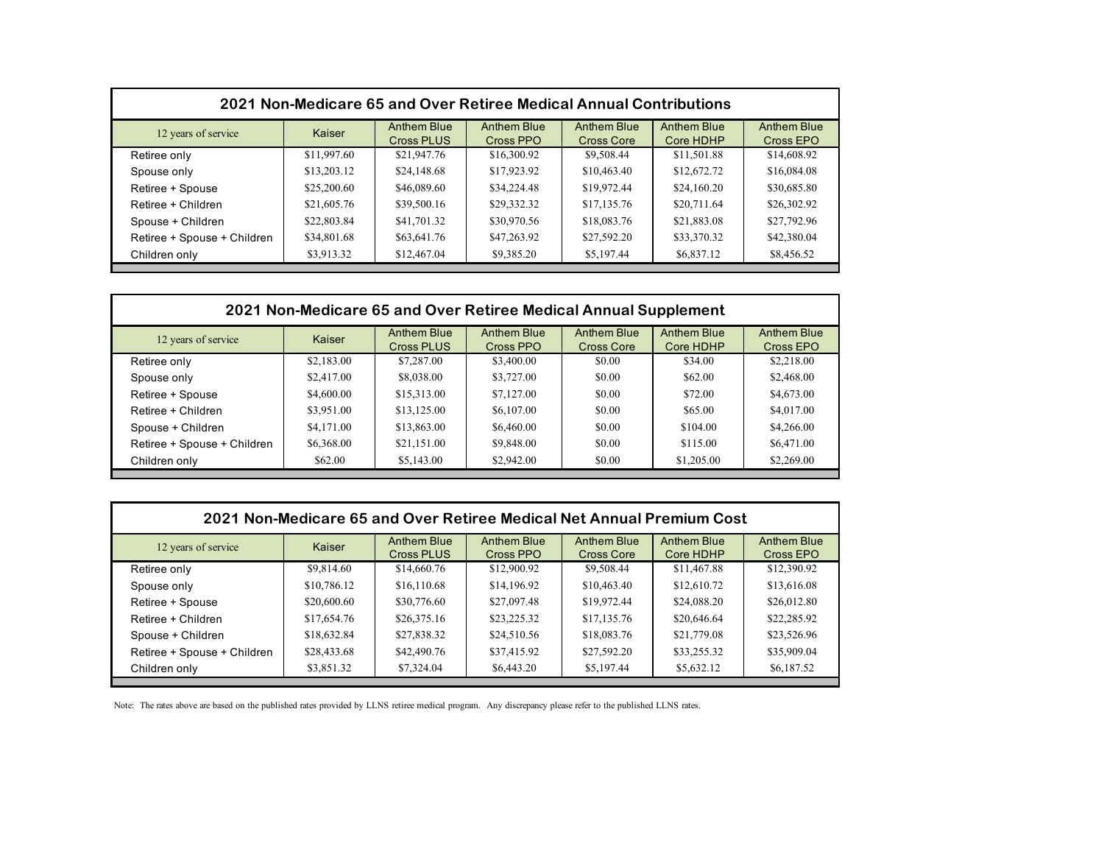| 2021 Non-Medicare 65 and Over Retiree Medical Annual Contributions |             |                                         |                                 |                                  |                                 |                          |  |  |
|--------------------------------------------------------------------|-------------|-----------------------------------------|---------------------------------|----------------------------------|---------------------------------|--------------------------|--|--|
| 12 years of service                                                | Kaiser      | <b>Anthem Blue</b><br><b>Cross PLUS</b> | <b>Anthem Blue</b><br>Cross PPO | <b>Anthem Blue</b><br>Cross Core | <b>Anthem Blue</b><br>Core HDHP | Anthem Blue<br>Cross EPO |  |  |
| Retiree only                                                       | \$11,997.60 | \$21,947.76                             | \$16,300.92                     | \$9,508.44                       | \$11,501.88                     | \$14,608.92              |  |  |
| Spouse only                                                        | \$13,203.12 | \$24,148.68                             | \$17,923.92                     | \$10,463.40                      | \$12,672.72                     | \$16,084.08              |  |  |
| Retiree + Spouse                                                   | \$25,200.60 | \$46,089.60                             | \$34,224.48                     | \$19,972.44                      | \$24,160.20                     | \$30,685.80              |  |  |
| Retiree + Children                                                 | \$21,605.76 | \$39,500.16                             | \$29,332.32                     | \$17,135.76                      | \$20,711.64                     | \$26,302.92              |  |  |
| Spouse + Children                                                  | \$22,803.84 | \$41,701.32                             | \$30,970.56                     | \$18,083.76                      | \$21,883.08                     | \$27,792.96              |  |  |
| Retiree + Spouse + Children                                        | \$34,801.68 | \$63,641.76                             | \$47,263.92                     | \$27,592.20                      | \$33,370.32                     | \$42,380.04              |  |  |
| Children only                                                      | \$3,913.32  | \$12,467.04                             | \$9,385.20                      | \$5,197.44                       | \$6,837.12                      | \$8,456.52               |  |  |

| 2021 Non-Medicare 65 and Over Retiree Medical Annual Supplement |            |                                  |                                 |                                  |                                 |                                 |  |
|-----------------------------------------------------------------|------------|----------------------------------|---------------------------------|----------------------------------|---------------------------------|---------------------------------|--|
| 12 years of service                                             | Kaiser     | Anthem Blue<br><b>Cross PLUS</b> | <b>Anthem Blue</b><br>Cross PPO | Anthem Blue<br><b>Cross Core</b> | <b>Anthem Blue</b><br>Core HDHP | <b>Anthem Blue</b><br>Cross EPO |  |
| Retiree only                                                    | \$2,183.00 | \$7,287.00                       | \$3,400.00                      | \$0.00                           | \$34.00                         | \$2,218.00                      |  |
| Spouse only                                                     | \$2,417.00 | \$8,038.00                       | \$3,727.00                      | \$0.00                           | \$62.00                         | \$2,468.00                      |  |
| Retiree + Spouse                                                | \$4,600.00 | \$15,313.00                      | \$7,127.00                      | \$0.00                           | \$72.00                         | \$4,673.00                      |  |
| Retiree + Children                                              | \$3,951.00 | \$13,125.00                      | \$6,107.00                      | \$0.00                           | \$65.00                         | \$4,017.00                      |  |
| Spouse + Children                                               | \$4,171.00 | \$13,863.00                      | \$6,460.00                      | \$0.00                           | \$104.00                        | \$4,266.00                      |  |
| Retiree + Spouse + Children                                     | \$6,368.00 | \$21,151.00                      | \$9,848.00                      | \$0.00                           | \$115.00                        | \$6,471.00                      |  |
| Children only                                                   | \$62.00    | \$5,143.00                       | \$2,942.00                      | \$0.00                           | \$1,205.00                      | \$2,269.00                      |  |

| 2021 Non-Medicare 65 and Over Retiree Medical Net Annual Premium Cost |             |                                  |                                 |                           |                                 |                          |  |
|-----------------------------------------------------------------------|-------------|----------------------------------|---------------------------------|---------------------------|---------------------------------|--------------------------|--|
| 12 years of service                                                   | Kaiser      | Anthem Blue<br><b>Cross PLUS</b> | <b>Anthem Blue</b><br>Cross PPO | Anthem Blue<br>Cross Core | <b>Anthem Blue</b><br>Core HDHP | Anthem Blue<br>Cross EPO |  |
| Retiree only                                                          | \$9,814.60  | \$14,660.76                      | \$12,900.92                     | \$9,508.44                | \$11,467.88                     | \$12,390.92              |  |
| Spouse only                                                           | \$10,786.12 | \$16,110.68                      | \$14,196.92                     | \$10,463.40               | \$12,610.72                     | \$13,616.08              |  |
| Retiree + Spouse                                                      | \$20,600.60 | \$30,776.60                      | \$27,097.48                     | \$19,972.44               | \$24,088.20                     | \$26,012.80              |  |
| Retiree + Children                                                    | \$17,654.76 | \$26,375.16                      | \$23,225.32                     | \$17,135.76               | \$20,646.64                     | \$22,285.92              |  |
| Spouse + Children                                                     | \$18,632.84 | \$27,838.32                      | \$24,510.56                     | \$18,083.76               | \$21,779.08                     | \$23,526.96              |  |
| Retiree + Spouse + Children                                           | \$28,433.68 | \$42,490.76                      | \$37,415.92                     | \$27,592.20               | \$33,255.32                     | \$35,909.04              |  |
| Children only                                                         | \$3,851.32  | \$7,324.04                       | \$6,443.20                      | \$5,197.44                | \$5,632.12                      | \$6,187.52               |  |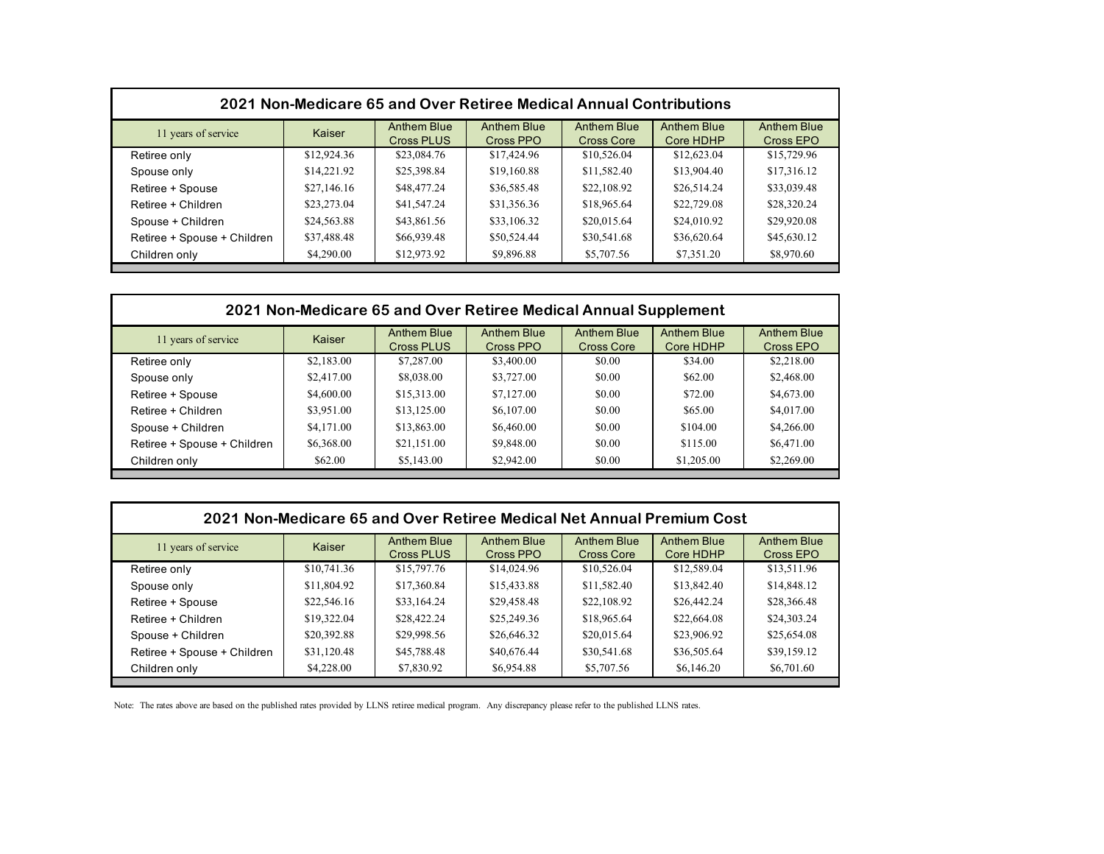| 2021 Non-Medicare 65 and Over Retiree Medical Annual Contributions |             |                                  |                                 |                                  |                          |                                 |  |  |
|--------------------------------------------------------------------|-------------|----------------------------------|---------------------------------|----------------------------------|--------------------------|---------------------------------|--|--|
| 11 years of service                                                | Kaiser      | Anthem Blue<br><b>Cross PLUS</b> | <b>Anthem Blue</b><br>Cross PPO | <b>Anthem Blue</b><br>Cross Core | Anthem Blue<br>Core HDHP | <b>Anthem Blue</b><br>Cross EPO |  |  |
| Retiree only                                                       | \$12,924.36 | \$23,084.76                      | \$17,424.96                     | \$10,526.04                      | \$12,623.04              | \$15,729.96                     |  |  |
| Spouse only                                                        | \$14,221.92 | \$25,398.84                      | \$19,160.88                     | \$11,582.40                      | \$13,904.40              | \$17,316.12                     |  |  |
| Retiree + Spouse                                                   | \$27,146.16 | \$48,477.24                      | \$36,585.48                     | \$22,108.92                      | \$26,514.24              | \$33,039.48                     |  |  |
| Retiree + Children                                                 | \$23,273.04 | \$41,547.24                      | \$31,356.36                     | \$18,965.64                      | \$22,729.08              | \$28,320.24                     |  |  |
| Spouse + Children                                                  | \$24,563.88 | \$43,861.56                      | \$33,106.32                     | \$20,015.64                      | \$24,010.92              | \$29,920.08                     |  |  |
| Retiree + Spouse + Children                                        | \$37,488.48 | \$66,939.48                      | \$50,524.44                     | \$30,541.68                      | \$36,620.64              | \$45,630.12                     |  |  |
| Children only                                                      | \$4,290.00  | \$12,973.92                      | \$9,896.88                      | \$5,707.56                       | \$7,351.20               | \$8,970.60                      |  |  |

| 2021 Non-Medicare 65 and Over Retiree Medical Annual Supplement |            |                                  |                                 |                                  |                                 |                                 |  |
|-----------------------------------------------------------------|------------|----------------------------------|---------------------------------|----------------------------------|---------------------------------|---------------------------------|--|
| 11 years of service                                             | Kaiser     | Anthem Blue<br><b>Cross PLUS</b> | <b>Anthem Blue</b><br>Cross PPO | <b>Anthem Blue</b><br>Cross Core | <b>Anthem Blue</b><br>Core HDHP | <b>Anthem Blue</b><br>Cross EPO |  |
| Retiree only                                                    | \$2,183.00 | \$7,287.00                       | \$3,400.00                      | \$0.00                           | \$34.00                         | \$2,218.00                      |  |
| Spouse only                                                     | \$2,417.00 | \$8,038.00                       | \$3,727.00                      | \$0.00                           | \$62.00                         | \$2,468.00                      |  |
| Retiree + Spouse                                                | \$4,600.00 | \$15,313.00                      | \$7,127.00                      | \$0.00                           | \$72.00                         | \$4,673.00                      |  |
| Retiree + Children                                              | \$3,951.00 | \$13,125.00                      | \$6,107.00                      | \$0.00                           | \$65.00                         | \$4,017.00                      |  |
| Spouse + Children                                               | \$4,171.00 | \$13,863.00                      | \$6,460.00                      | \$0.00                           | \$104.00                        | \$4,266.00                      |  |
| Retiree + Spouse + Children                                     | \$6,368.00 | \$21,151.00                      | \$9,848.00                      | \$0.00                           | \$115.00                        | \$6,471.00                      |  |
| Children only                                                   | \$62.00    | \$5,143.00                       | \$2,942.00                      | \$0.00                           | \$1,205.00                      | \$2,269.00                      |  |
|                                                                 |            |                                  |                                 |                                  |                                 |                                 |  |

| 2021 Non-Medicare 65 and Over Retiree Medical Net Annual Premium Cost |             |                                  |                                 |                                         |                                 |                                 |  |
|-----------------------------------------------------------------------|-------------|----------------------------------|---------------------------------|-----------------------------------------|---------------------------------|---------------------------------|--|
| 11 years of service                                                   | Kaiser      | Anthem Blue<br><b>Cross PLUS</b> | <b>Anthem Blue</b><br>Cross PPO | <b>Anthem Blue</b><br><b>Cross Core</b> | <b>Anthem Blue</b><br>Core HDHP | <b>Anthem Blue</b><br>Cross EPO |  |
| Retiree only                                                          | \$10,741.36 | \$15,797.76                      | \$14,024.96                     | \$10,526.04                             | \$12,589.04                     | \$13,511.96                     |  |
| Spouse only                                                           | \$11,804.92 | \$17,360.84                      | \$15,433.88                     | \$11,582.40                             | \$13,842.40                     | \$14,848.12                     |  |
| Retiree + Spouse                                                      | \$22,546.16 | \$33,164.24                      | \$29,458.48                     | \$22,108.92                             | \$26,442.24                     | \$28,366.48                     |  |
| Retiree + Children                                                    | \$19,322.04 | \$28,422.24                      | \$25,249.36                     | \$18,965.64                             | \$22,664.08                     | \$24,303.24                     |  |
| Spouse + Children                                                     | \$20,392.88 | \$29,998.56                      | \$26,646.32                     | \$20,015.64                             | \$23,906.92                     | \$25,654.08                     |  |
| Retiree + Spouse + Children                                           | \$31,120.48 | \$45,788.48                      | \$40,676.44                     | \$30,541.68                             | \$36,505.64                     | \$39,159.12                     |  |
| Children only                                                         | \$4,228.00  | \$7,830.92                       | \$6,954.88                      | \$5,707.56                              | \$6,146.20                      | \$6,701.60                      |  |